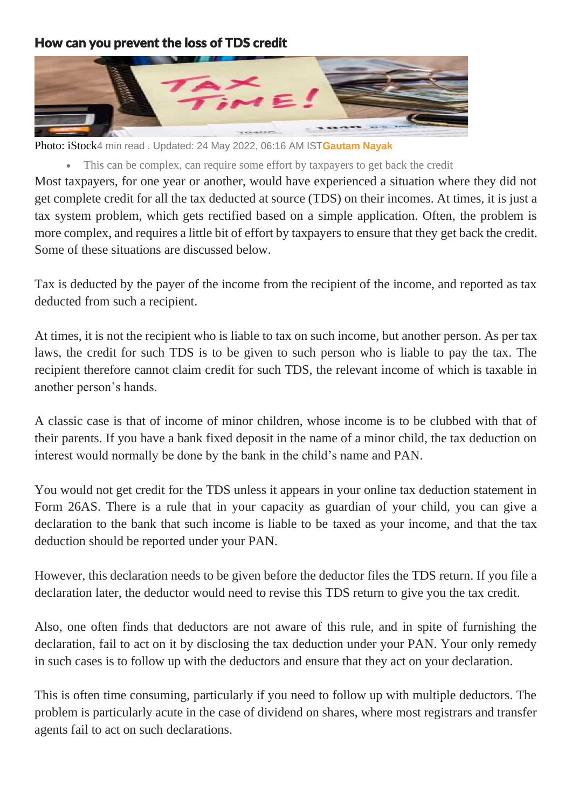## How can you prevent the loss of TDS credit



Photo: iStock4 min read . Updated: 24 May 2022, 06:16 AM IST**[Gautam Nayak](https://www.livemint.com/Search/Link/Author/Gautam-Nayak)**

This can be complex, can require some effort by taxpayers to get back the credit

Most taxpayers, for one year or another, would have experienced a situation where they did not get complete credit for all the tax deducted at source (TDS) on their incomes. At times, it is just a tax system problem, which gets rectified based on a simple application. Often, the problem is more complex, and requires a little bit of effort by taxpayers to ensure that they get back the credit. Some of these situations are discussed below.

Tax is deducted by the payer of the income from the recipient of the income, and reported as tax deducted from such a recipient.

At times, it is not the recipient who is liable to tax on such income, but another person. As per tax laws, the credit for such TDS is to be given to such person who is liable to pay the tax. The recipient therefore cannot claim credit for such TDS, the relevant income of which is taxable in another person's hands.

A classic case is that of income of minor children, whose income is to be clubbed with that of their parents. If you have a bank fixed deposit in the name of a minor child, the tax deduction on interest would normally be done by the bank in the child's name and PAN.

You would not get credit for the TDS unless it appears in your online tax deduction statement in Form 26AS. There is a rule that in your capacity as guardian of your child, you can give a declaration to the bank that such income is liable to be taxed as your income, and that the tax deduction should be reported under your PAN.

However, this declaration needs to be given before the deductor files the TDS return. If you file a declaration later, the deductor would need to revise this TDS return to give you the tax credit.

Also, one often finds that deductors are not aware of this rule, and in spite of furnishing the declaration, fail to act on it by disclosing the tax deduction under your PAN. Your only remedy in such cases is to follow up with the deductors and ensure that they act on your declaration.

This is often time consuming, particularly if you need to follow up with multiple deductors. The problem is particularly acute in the case of dividend on shares, where most registrars and transfer agents fail to act on such declarations.